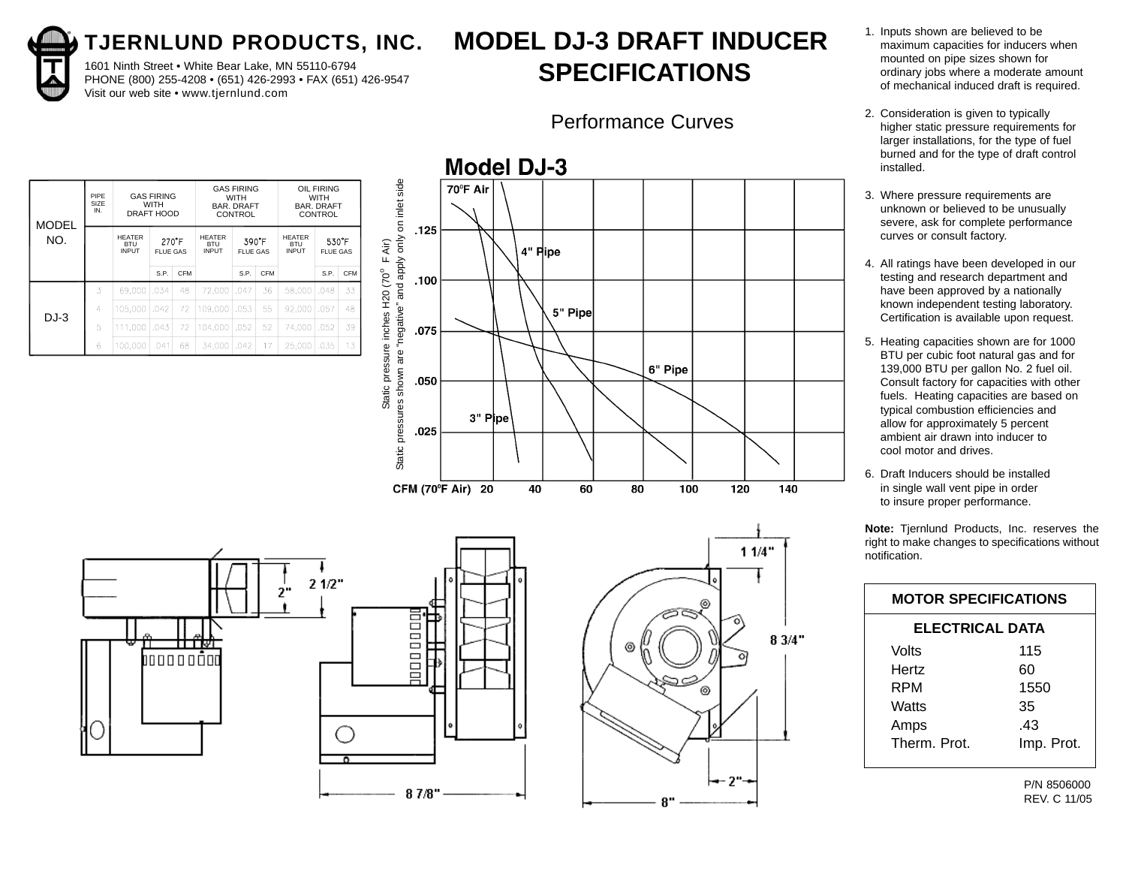1601 Ninth Street • White Bear Lake, MN 55110-6794 PHONE (800) 255-4208 • (651) 426-2993 • FAX (651) 426-9547 Visit our web site • www.tjernlund.com

# **MODEL DJ-3 DRAFT INDUCER SPECIFICATIONS**

#### Performance Curves

| <b>MODEL</b> | PIPF<br>SIZE<br>IN. |                                             | <b>GAS FIRING</b><br><b>WITH</b><br>DRAFT HOOD |            | <b>GAS FIRING</b><br>WITH<br><b>BAR, DRAFT</b><br>CONTROL |                          |            | <b>OIL FIRING</b><br><b>WITH</b><br><b>BAR, DRAFT</b><br>CONTROL |                 |            |
|--------------|---------------------|---------------------------------------------|------------------------------------------------|------------|-----------------------------------------------------------|--------------------------|------------|------------------------------------------------------------------|-----------------|------------|
| NO.          |                     | <b>HEATER</b><br><b>BTU</b><br><b>INPUT</b> | 270F<br><b>FLUE GAS</b>                        |            | <b>HEATER</b><br><b>BTU</b><br><b>INPUT</b>               | 390 F<br><b>FLUE GAS</b> |            | <b>HEATER</b><br><b>BTU</b><br><b>INPUT</b>                      | <b>FLUE GAS</b> | 530 F      |
|              |                     |                                             | S.P.                                           | <b>CFM</b> |                                                           | S.P.                     | <b>CFM</b> |                                                                  | S.P.            | <b>CFM</b> |
|              | 3                   | 69,000                                      | .034                                           | 48         | 72,000                                                    | .047                     | 36         | 58,000                                                           | .048            | 33         |
| $DJ-3$       | 4                   | 105,000                                     | .042                                           | 72         | 109,000                                                   | .053                     | 55         | 92.000                                                           | .057            | 48         |
|              | 5                   | 111.000                                     | .043                                           | 72         | 104.000                                                   | .052                     | 52         | 74.000                                                           | .052            | 39         |
|              | 6                   | 100.000                                     | .041                                           | 68         | 34.000                                                    | .042                     | 17         | 25,000                                                           | .035            | 13         |







- 1. Inputs shown are believed to be maximum capacities for inducers when mounted on pipe sizes shown for ordinary jobs where a moderate amount of mechanical induced draft is required.
- 2. Consideration is given to typically higher static pressure requirements for larger installations, for the type of fuel burned and for the type of draft control installed.
- 3. Where pressure requirements are unknown or believed to be unusually severe, ask for complete performance curves or consult factory.
- 4. All ratings have been developed in our testing and research department and have been approved by a nationally known independent testing laboratory. Certification is available upon request.
- 5. Heating capacities shown are for 1000 BTU per cubic foot natural gas and for 139,000 BTU per gallon No. 2 fuel oil. Consult factory for capacities with other fuels. Heating capacities are based on typical combustion efficiencies and allow for approximately 5 percent ambient air drawn into inducer to cool motor and drives.
- 6. Draft Inducers should be installed in single wall vent pipe in order to insure proper performance.

**Note:** Tjernlund Products, Inc. reserves the right to make changes to specifications without notification.

|                        | <b>MOTOR SPECIFICATIONS</b> |  |  |  |  |  |  |  |  |  |
|------------------------|-----------------------------|--|--|--|--|--|--|--|--|--|
| <b>ELECTRICAL DATA</b> |                             |  |  |  |  |  |  |  |  |  |
| Volts                  | 115                         |  |  |  |  |  |  |  |  |  |
| Hertz                  | 60                          |  |  |  |  |  |  |  |  |  |
| RPM                    | 1550                        |  |  |  |  |  |  |  |  |  |
| Watts                  | 35                          |  |  |  |  |  |  |  |  |  |
| Amps                   | .43                         |  |  |  |  |  |  |  |  |  |
| Therm Prot             | Imp. Prot.                  |  |  |  |  |  |  |  |  |  |

P/N 8506000 REV. C 11/05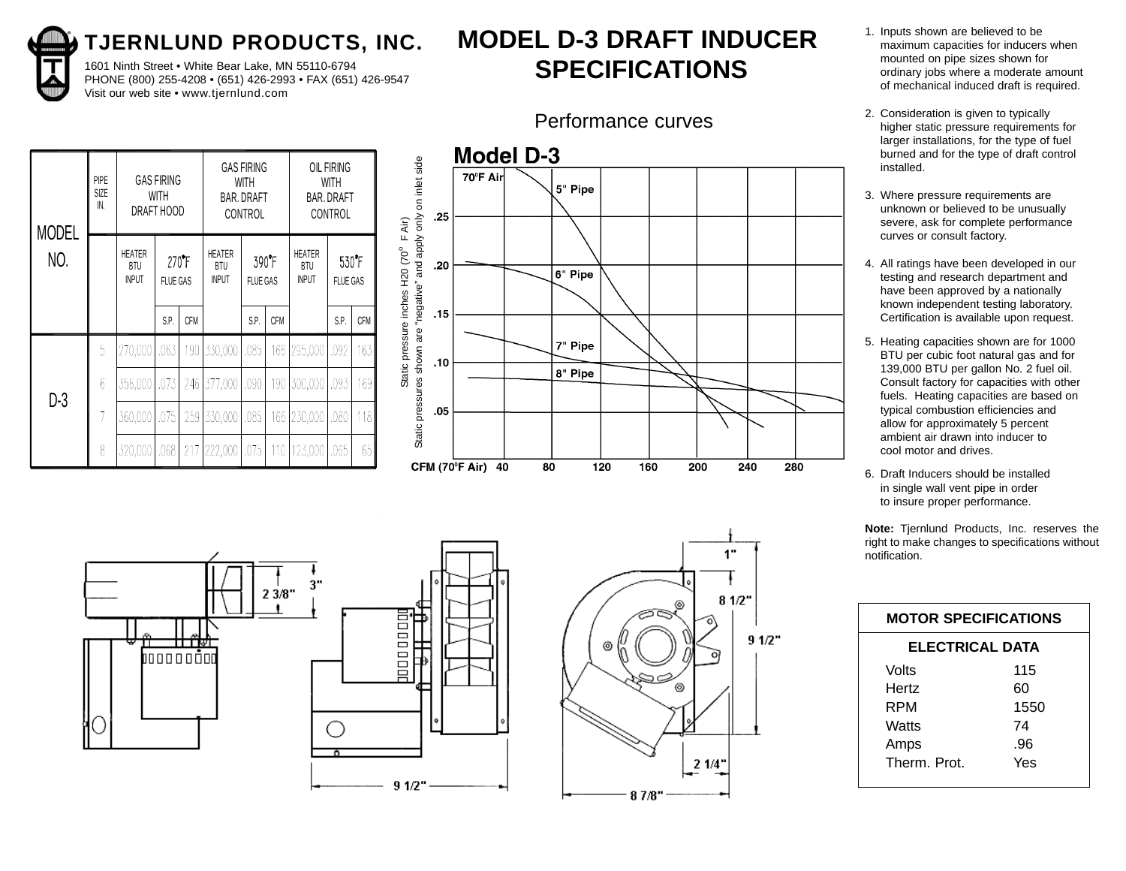

1601 Ninth Street • White Bear Lake, MN 55110-6794 PHONE (800) 255-4208 • (651) 426-2993 • FAX (651) 426-9547 Visit our web site • www.tjernlund.com

# **MODEL D-3 DRAFT INDUCER SPECIFICATIONS**

#### Performance curves

| <b>MODEL</b> | PIPE<br><b>SIZE</b><br>IN. |                                                          | <b>GAS FIRING</b><br>WITH<br>DRAFT HOOD |                               |                          | <b>GAS FIRING</b><br>WITH<br><b>BAR. DRAFT</b><br>CONTROL |                               | OIL FIRING<br>WITH<br><b>BAR. DRAFT</b><br>CONTROL |                          |            |
|--------------|----------------------------|----------------------------------------------------------|-----------------------------------------|-------------------------------|--------------------------|-----------------------------------------------------------|-------------------------------|----------------------------------------------------|--------------------------|------------|
| NO.          |                            | HEATER<br>270F<br>BTU<br><b>INPUT</b><br><b>FLUE GAS</b> |                                         | HEATER<br>BTU<br><b>INPUT</b> | 390 F<br><b>FLUE GAS</b> |                                                           | HEATER<br>BTU<br><b>INPUT</b> |                                                    | 530 F<br><b>FLUE GAS</b> |            |
|              |                            |                                                          | S.P.                                    | <b>CFM</b>                    |                          | S.P.                                                      | <b>CFM</b>                    |                                                    | S.P.                     | <b>CFM</b> |
|              | 5                          | 270,000                                                  | .063                                    | 190                           | 330,000                  | ,085                                                      | 166                           | 295,000                                            | ,092                     | 163        |
| $D-3$        | $\delta$                   | 356,000                                                  | .073                                    | 246                           | 377,000                  | ,090                                                      | 190                           | 300,000                                            | .093                     | 169        |
|              | 7                          | 360,000                                                  | .075                                    | 259                           | 330,000                  | .085                                                      | 166                           | 230,000                                            | .080                     | 118        |
|              | 8                          | 320,000                                                  | .068                                    | 217                           | 222,000                  | .075                                                      | 110                           | 123,000                                            | .065                     | 65         |







- 1. Inputs shown are believed to be maximum capacities for inducers when mounted on pipe sizes shown for ordinary jobs where a moderate amount of mechanical induced draft is required.
- 2. Consideration is given to typically higher static pressure requirements for larger installations, for the type of fuel burned and for the type of draft control installed.
- 3. Where pressure requirements are unknown or believed to be unusually severe, ask for complete performance curves or consult factory.
- 4. All ratings have been developed in our testing and research department and have been approved by a nationally known independent testing laboratory. Certification is available upon request.
- 5. Heating capacities shown are for 1000 BTU per cubic foot natural gas and for 139,000 BTU per gallon No. 2 fuel oil. Consult factory for capacities with other fuels. Heating capacities are based on typical combustion efficiencies and allow for approximately 5 percent ambient air drawn into inducer to cool motor and drives.
- 6. Draft Inducers should be installed in single wall vent pipe in order to insure proper performance.

| <b>MOTOR SPECIFICATIONS</b> |      |  |  |  |  |  |  |  |
|-----------------------------|------|--|--|--|--|--|--|--|
| <b>ELECTRICAL DATA</b>      |      |  |  |  |  |  |  |  |
| Volts                       | 115  |  |  |  |  |  |  |  |
| Hertz                       | 60   |  |  |  |  |  |  |  |
| RPM                         | 1550 |  |  |  |  |  |  |  |
| Watts                       | 74   |  |  |  |  |  |  |  |
| Amps                        | .96  |  |  |  |  |  |  |  |
| Therm. Prot.                | Yes  |  |  |  |  |  |  |  |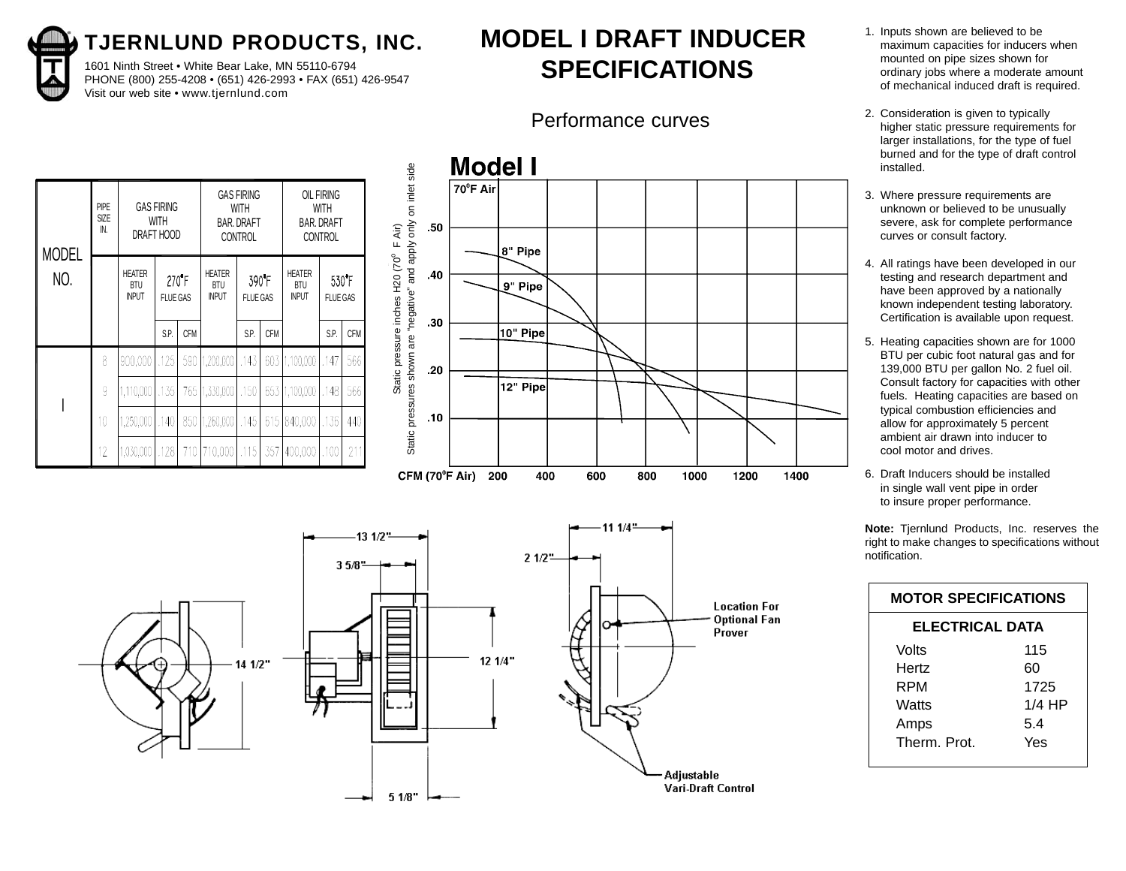1601 Ninth Street • White Bear Lake, MN 55110-6794 PHONE (800) 255-4208 • (651) 426-2993 • FAX (651) 426-9547 Visit our web site • www.tjernlund.com

# **MODEL I DRAFT INDUCER SPECIFICATIONS**

#### Performance curves

| <b>MODEL</b> | <b>PIPE</b><br><b>SIZE</b><br>IN. |                                             | <b>GAS FIRING</b><br><b>WITH</b><br>DRAFT HOOD                 |            | <b>GAS FIRING</b><br><b>WITH</b><br><b>BAR. DRAFT</b><br><b>CONTROL</b> |                          |            | <b>OIL FIRING</b><br><b>WITH</b><br>BAR. DRAFT<br><b>CONTROL</b> |                          |            |
|--------------|-----------------------------------|---------------------------------------------|----------------------------------------------------------------|------------|-------------------------------------------------------------------------|--------------------------|------------|------------------------------------------------------------------|--------------------------|------------|
| NO.          |                                   | <b>HEATER</b><br><b>BTU</b><br><b>INPUT</b> | $270$ <sup><math>\textdegree</math></sup> F<br><b>FLUE GAS</b> |            | <b>HEATER</b><br><b>BTU</b><br><b>INPUT</b>                             | 390 F<br><b>FLUE GAS</b> |            | <b>HEATER</b><br><b>BTU</b><br><b>INPUT</b>                      | 530 F<br><b>FLUE GAS</b> |            |
|              |                                   |                                             | S.P.                                                           | <b>CFM</b> |                                                                         | S.P.                     | <b>CFM</b> |                                                                  | S.P.                     | <b>CFM</b> |
|              | 8                                 | 900,000                                     | .125                                                           | 590        | 1,200,000                                                               | .143                     |            | 603 1,100,000                                                    | .147                     | 566        |
|              | 9                                 | 1,110,000                                   | ,135                                                           |            | 765   1,330,000   .150                                                  |                          |            | 653 1,100,000                                                    | .148                     | 566        |
|              | 10                                | 1,250,000                                   | .140                                                           | 850        | $ 1,260,000 $ , 145                                                     |                          | 615        | 840,000   136                                                    |                          | 440        |
|              | 12                                | 1,030,000                                   | ,1281                                                          | 710        | 115, 10,000                                                             |                          | 357        | 400,000                                                          | ,100                     | 211        |





- 1. Inputs shown are believed to be maximum capacities for inducers when mounted on pipe sizes shown for ordinary jobs where a moderate amount of mechanical induced draft is required.
- 2. Consideration is given to typically higher static pressure requirements for larger installations, for the type of fuel burned and for the type of draft control installed.
- 3. Where pressure requirements are unknown or believed to be unusually severe, ask for complete performance curves or consult factory.
- 4. All ratings have been developed in our testing and research department and have been approved by a nationally known independent testing laboratory. Certification is available upon request.
- 5. Heating capacities shown are for 1000 BTU per cubic foot natural gas and for 139,000 BTU per gallon No. 2 fuel oil. Consult factory for capacities with other fuels. Heating capacities are based on typical combustion efficiencies and allow for approximately 5 percent ambient air drawn into inducer to cool motor and drives.
- 6. Draft Inducers should be installed in single wall vent pipe in order to insure proper performance.

| <b>MOTOR SPECIFICATIONS</b> |          |  |  |  |  |  |  |  |
|-----------------------------|----------|--|--|--|--|--|--|--|
| <b>ELECTRICAL DATA</b>      |          |  |  |  |  |  |  |  |
| Volts                       | 115      |  |  |  |  |  |  |  |
| Hertz                       | 60       |  |  |  |  |  |  |  |
| RPM                         | 1725     |  |  |  |  |  |  |  |
| Watts                       | $1/4$ HP |  |  |  |  |  |  |  |
| Amps                        | 5.4      |  |  |  |  |  |  |  |
| Therm Prot                  | Yes      |  |  |  |  |  |  |  |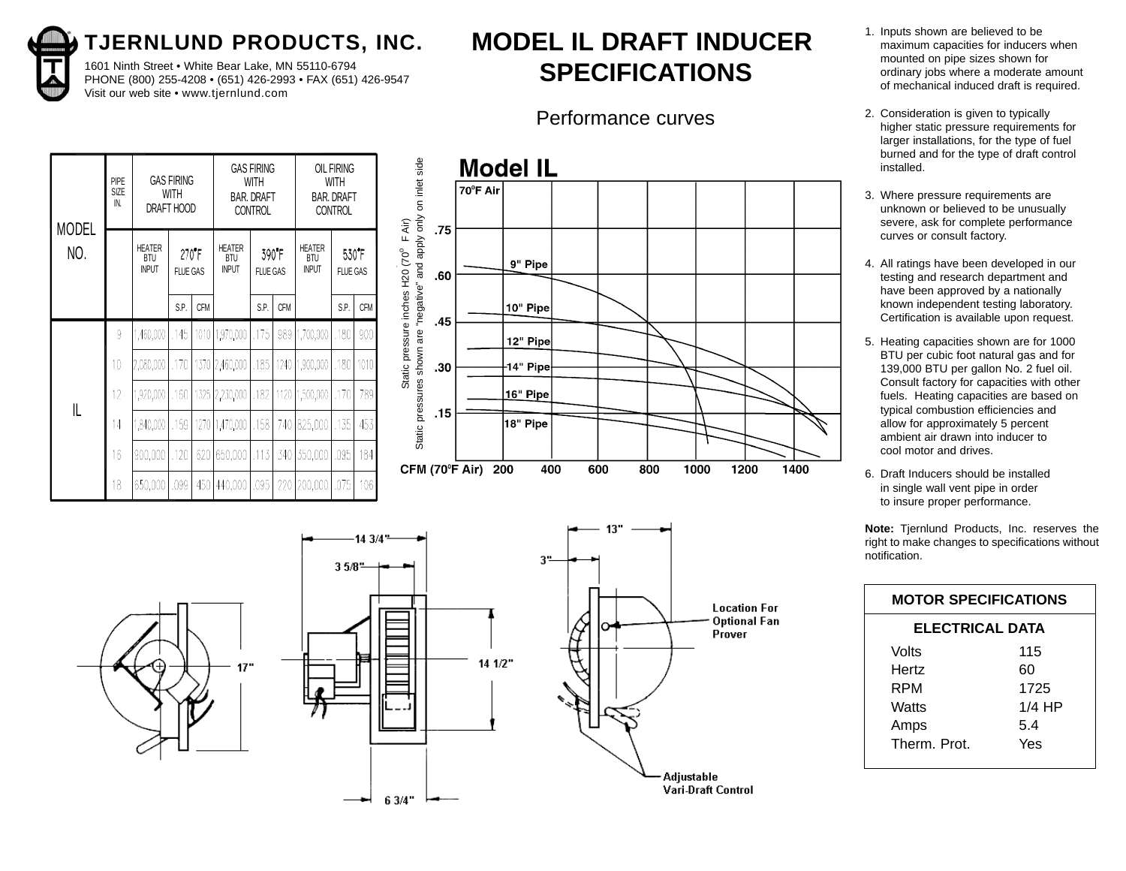1601 Ninth Street • White Bear Lake, MN 55110-6794 PHONE (800) 255-4208 • (651) 426-2993 • FAX (651) 426-9547 Visit our web site • www.tjernlund.com

# **MODEL IL DRAFT INDUCER SPECIFICATIONS**

### Performance curves

|              | PIPE<br>SIZE |                                             | <b>GAS FIRING</b><br><b>WITH</b> |            |                                      | <b>GAS FIRING</b><br><b>WITH</b><br><b>BAR, DRAFT</b> |            |                               | <b>OIL FIRING</b><br><b>WITH</b><br><b>BAR, DRAFT</b> |            |                                                                                                                     | 70°F Air | <b>Model IL</b> |          |     |     |      |      |      |  |
|--------------|--------------|---------------------------------------------|----------------------------------|------------|--------------------------------------|-------------------------------------------------------|------------|-------------------------------|-------------------------------------------------------|------------|---------------------------------------------------------------------------------------------------------------------|----------|-----------------|----------|-----|-----|------|------|------|--|
| <b>MODEL</b> | IN.          |                                             | DRAFT HOOD                       |            |                                      | <b>CONTROL</b>                                        |            |                               | <b>CONTROL</b>                                        |            |                                                                                                                     |          |                 |          |     |     |      |      |      |  |
| NO.          |              | <b>HEATER</b><br><b>BTU</b><br><b>INPUT</b> | <b>FLUE GAS</b>                  | 270F       | HEATER<br><b>BTU</b><br><b>INPUT</b> | <b>FLUE GAS</b>                                       | 390 F      | HEATER<br>BTU<br><b>INPUT</b> | FLUE GAS                                              | 530 F      | .75                                                                                                                 |          | 9" Pipe         |          |     |     |      |      |      |  |
|              |              |                                             | S.P.                             | <b>CFM</b> |                                      | S.P.                                                  | <b>CFM</b> |                               | S.P.                                                  | <b>CFM</b> | .60                                                                                                                 |          | 10" Pipe        |          |     |     |      |      |      |  |
|              |              |                                             |                                  |            |                                      |                                                       |            |                               |                                                       |            | .45                                                                                                                 |          |                 |          |     |     |      |      |      |  |
|              | 9            | ,460,000                                    | .145                             |            | 1010 1,970,000                       | ,175                                                  |            | 989   1,700,000   180         |                                                       | -9001      |                                                                                                                     |          | 12" Pipe        |          |     |     |      |      |      |  |
|              | 10           | 2,080,000                                   | ,170                             |            | 1370 2,460,000                       | .185                                                  |            | 1240 1,900,000   .180         |                                                       | 1010       | .30                                                                                                                 |          | $-14"$ Pipe     |          |     |     |      |      |      |  |
| L            |              | 920,000,                                    | .160 <sub>1</sub>                |            | 1325 2,230,000                       | .182                                                  |            | 170   1,500,000   170         |                                                       | 789        | Static pressures shown are "negative" and apply only on inlet side<br>Static pressure inches H20 (70° F Air)<br>.15 |          |                 | 16" Pipe |     |     |      |      |      |  |
|              | 14           | 1,840,000                                   | .159                             |            | 1270 1,470,000                       | .158                                                  |            | 740 825,000   135             |                                                       | 453        |                                                                                                                     |          | 18" Pipe        |          |     |     |      |      |      |  |
|              | 16           | 900,000                                     | .120                             |            | 620 650,000   113                    |                                                       |            | 340 350,000 095               |                                                       | 184        | CFM (70°F Air)                                                                                                      |          | 200             | 400      | 600 | 800 | 1000 | 1200 | 1400 |  |
|              | 18           | 650,000 .099                                |                                  |            | 450   440,000                        | .095                                                  |            | 220 200,000 075               |                                                       | 106        |                                                                                                                     |          |                 |          |     |     |      |      |      |  |





- 1. Inputs shown are believed to be maximum capacities for inducers when mounted on pipe sizes shown for ordinary jobs where a moderate amount of mechanical induced draft is required.
- 2. Consideration is given to typically higher static pressure requirements for larger installations, for the type of fuel burned and for the type of draft control installed.
- 3. Where pressure requirements are unknown or believed to be unusually severe, ask for complete performance curves or consult factory.
- 4. All ratings have been developed in our testing and research department and have been approved by a nationally known independent testing laboratory. Certification is available upon request.
- 5. Heating capacities shown are for 1000 BTU per cubic foot natural gas and for 139,000 BTU per gallon No. 2 fuel oil. Consult factory for capacities with other fuels. Heating capacities are based on typical combustion efficiencies and allow for approximately 5 percent ambient air drawn into inducer to cool motor and drives.
- 6. Draft Inducers should be installed in single wall vent pipe in order to insure proper performance.

|                        | <b>MOTOR SPECIFICATIONS</b> |  |  |  |  |  |  |  |  |
|------------------------|-----------------------------|--|--|--|--|--|--|--|--|
| <b>ELECTRICAL DATA</b> |                             |  |  |  |  |  |  |  |  |
| Volts                  | 115                         |  |  |  |  |  |  |  |  |
| Hertz                  | 60                          |  |  |  |  |  |  |  |  |
| RPM                    | 1725                        |  |  |  |  |  |  |  |  |
| Watts                  | $1/4$ HP                    |  |  |  |  |  |  |  |  |
| Amps                   | 5.4                         |  |  |  |  |  |  |  |  |
| Therm Prot             | Yes                         |  |  |  |  |  |  |  |  |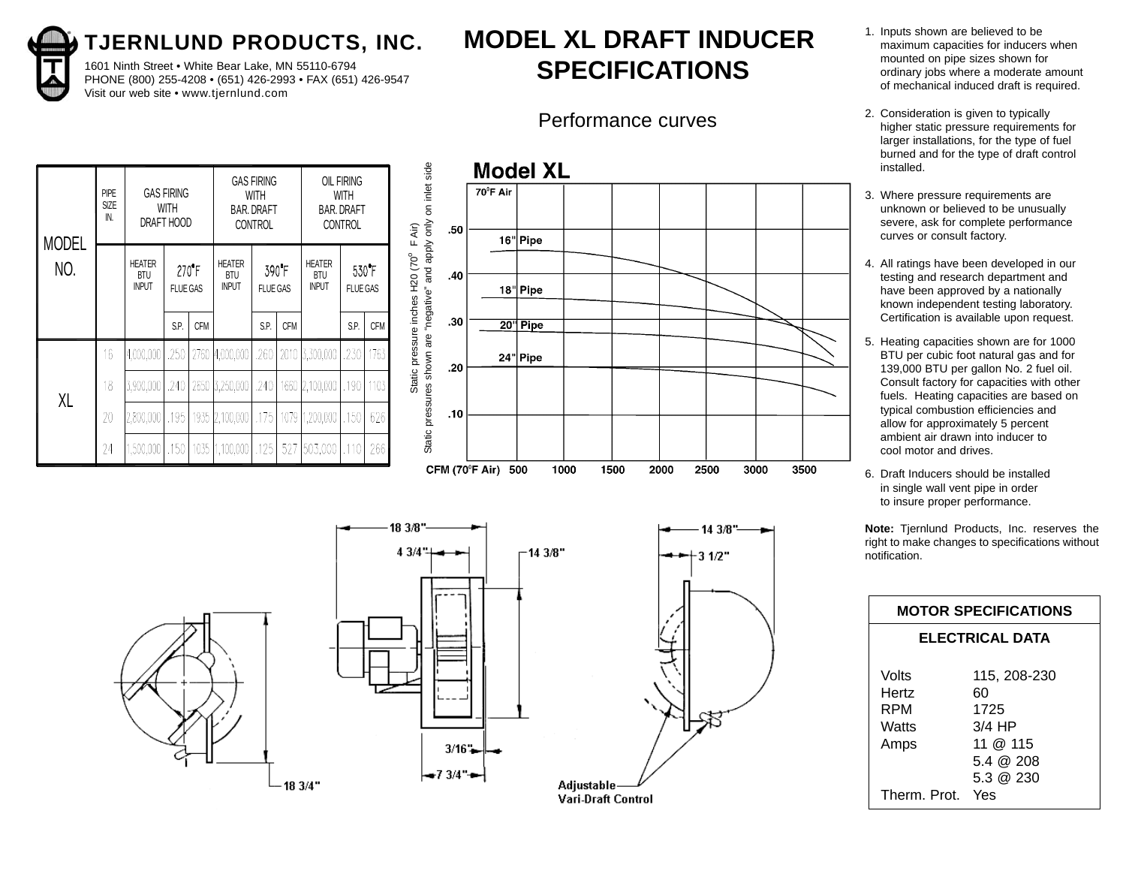1601 Ninth Street • White Bear Lake, MN 55110-6794 PHONE (800) 255-4208 • (651) 426-2993 • FAX (651) 426-9547 Visit our web site • www.tjernlund.com

# **MODEL XL DRAFT INDUCER SPECIFICATIONS**

### Performance curves

| <b>MODEL</b> | <b>PIPE</b><br><b>SIZE</b><br>IN.                                                 | DRAFT HOOD | <b>GAS FIRING</b><br>WITH                   |                          |                | <b>GAS FIRING</b><br>WITH<br><b>BAR. DRAFT</b><br><b>CONTROL</b> |            | OIL FIRING<br>WITH<br><b>BAR. DRAFT</b><br><b>CONTROL</b> |      |            |
|--------------|-----------------------------------------------------------------------------------|------------|---------------------------------------------|--------------------------|----------------|------------------------------------------------------------------|------------|-----------------------------------------------------------|------|------------|
| NO.          | <b>HEATER</b><br>$270^{\circ}$ F<br><b>BTU</b><br><b>INPUT</b><br><b>FLUE GAS</b> |            | <b>HEATER</b><br><b>BTU</b><br><b>INPUT</b> | 390 F<br><b>FLUE GAS</b> |                | <b>HEATER</b><br><b>BTU</b><br><b>INPUT</b>                      |            | 530 <sup>°</sup> F<br><b>FLUE GAS</b>                     |      |            |
|              |                                                                                   |            | S.P.                                        | <b>CFM</b>               |                | S.P.                                                             | <b>CFM</b> |                                                           | S.P. | <b>CFM</b> |
|              | 16                                                                                | 4,000,000  | .250                                        | 2760                     | 4,000,000      | .260                                                             |            | 2010 3,300,000                                            | .230 | 1763       |
| XL           | 18                                                                                | 3,900,000  | .240                                        |                          | 2650 3,250,000 | .240                                                             |            | 1660 2,100,000                                            | .190 | 1103       |
|              | 20                                                                                | 2,800,000  | .195                                        |                          | 1935 2,100,000 | .175                                                             | 1079       | 1,200,000                                                 | ,150 | 626        |
|              | 24                                                                                | 1,500,000  | .150                                        |                          | 1035 1,100,000 | .125                                                             | 527        | 503,000                                                   | .110 | 266        |









18 3/8

 $4.3/4$ "

- 1. Inputs shown are believed to be maximum capacities for inducers when mounted on pipe sizes shown for ordinary jobs where a moderate amount of mechanical induced draft is required.
- 2. Consideration is given to typically higher static pressure requirements for larger installations, for the type of fuel burned and for the type of draft control installed.
- 3. Where pressure requirements are unknown or believed to be unusually severe, ask for complete performance curves or consult factory.
- 4. All ratings have been developed in our testing and research department and have been approved by a nationally known independent testing laboratory. Certification is available upon request.
- 5. Heating capacities shown are for 1000 BTU per cubic foot natural gas and for 139,000 BTU per gallon No. 2 fuel oil. Consult factory for capacities with other fuels. Heating capacities are based on typical combustion efficiencies and allow for approximately 5 percent ambient air drawn into inducer to cool motor and drives.
- 6. Draft Inducers should be installed in single wall vent pipe in order to insure proper performance.

| <b>MOTOR SPECIFICATIONS</b> |              |  |  |  |  |  |  |  |
|-----------------------------|--------------|--|--|--|--|--|--|--|
| <b>ELECTRICAL DATA</b>      |              |  |  |  |  |  |  |  |
|                             |              |  |  |  |  |  |  |  |
| Volts                       | 115, 208-230 |  |  |  |  |  |  |  |
| Hertz                       | 60           |  |  |  |  |  |  |  |
| RPM                         | 1725         |  |  |  |  |  |  |  |
| Watts                       | $3/4$ HP     |  |  |  |  |  |  |  |
| Amps                        | 11 @ 115     |  |  |  |  |  |  |  |
|                             | 5.4 @ 208    |  |  |  |  |  |  |  |
|                             | 5.3 @ 230    |  |  |  |  |  |  |  |
| Therm. Prot.                | Yes          |  |  |  |  |  |  |  |